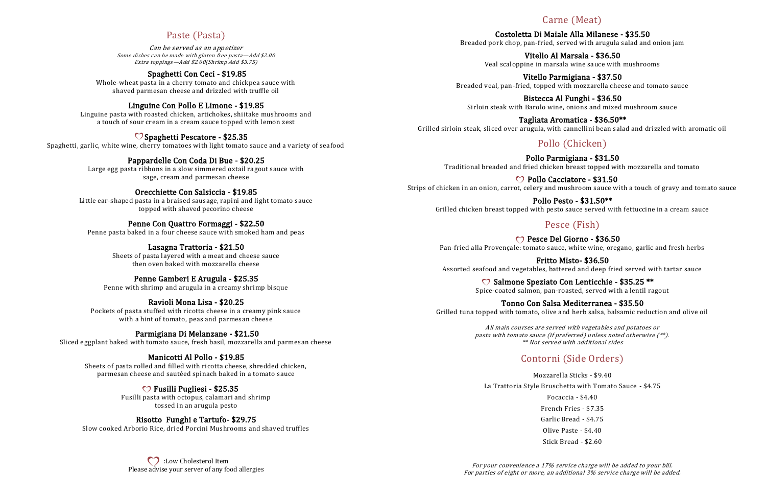## Paste (Pasta)

Can be served as an appetizer Some dishes can be made with gluten free pasta—Add \$2.00 Extra toppings—Add \$2.00(Shrimp Add \$3.75)

### Spaghetti Con Ceci - \$19.85

Whole-wheat pasta in a cherry tomato and chickpea sauce with shaved parmesan cheese and drizzled with truffle oil

### Linguine Con Pollo E Limone - \$19.85

Linguine pasta with roasted chicken, artichokes, shiitake mushrooms and a touch of sour cream in a cream sauce topped with lemon zest

### $\heartsuit$  Spaghetti Pescatore - \$25.35

Spaghetti, garlic, white wine, cherry tomatoes with light tomato sauce and a variety of seafood

### Pappardelle Con Coda Di Bue - \$20.25

Large egg pasta ribbons in a slow simmered oxtail ragout sauce with sage, cream and parmesan cheese

#### Orecchiette Con Salsiccia - \$19.85

Little ear-shaped pasta in a braised sausage, rapini and light tomato sauce topped with shaved pecorino cheese

#### Penne Con Quattro Formaggi - \$22.50

Penne pasta baked in a four cheese sauce with smoked ham and peas

**CO**: Low Cholesterol Item Please advise your server of any food allergies

### Lasagna Trattoria - \$21.50

Sheets of pasta layered with a meat and cheese sauce then oven baked with mozzarella cheese

#### Penne Gamberi E Arugula - \$25.35

Penne with shrimp and arugula in a creamy shrimp bisque

#### Ravioli Mona Lisa - \$20.25

Pockets of pasta stuffed with ricotta cheese in a creamy pink sauce with a hint of tomato, peas and parmesan cheese

C Pollo Cacciatore - \$31.50 Strips of chicken in an onion, carrot, celery and mushroom sauce with a touch of gravy and tomato sauce

#### Parmigiana Di Melanzane - \$21.50

Sliced eggplant baked with tomato sauce, fresh basil, mozzarella and parmesan cheese

C Pesce Del Giorno - \$36.50 Pan-fried alla Provençale: tomato sauce, white wine, oregano, garlic and fresh herbs

### Manicotti Al Pollo - \$19.85

Sheets of pasta rolled and filled with ricotta cheese, shredded chicken, parmesan cheese and sautéed spinach baked in a tomato sauce

C Salmone Speziato Con Lenticchie - \$35.25 \*\* Spice-coated salmon, pan-roasted, served with a lentil ragout

#### Fusilli Pugliesi - \$25.35

Fusilli pasta with octopus, calamari and shrimp tossed in an arugula pesto

#### Risotto Funghi e Tartufo- \$29.75

Slow cooked Arborio Rice, dried Porcini Mushrooms and shaved truffles

## Carne (Meat)

Costoletta Di Maiale Alla Milanese - \$35.50 Breaded pork chop, pan-fried, served with arugula salad and onion jam

Vitello Al Marsala - \$36.50 Veal scaloppine in marsala wine sauce with mushrooms

Vitello Parmigiana - \$37.50 Breaded veal, pan-fried, topped with mozzarella cheese and tomato sauce

Bistecca Al Funghi - \$36.50 Sirloin steak with Barolo wine, onions and mixed mushroom sauce

Tagliata Aromatica - \$36.50\*\* Grilled sirloin steak, sliced over arugula, with cannellini bean salad and drizzled with aromatic oil

# Pollo (Chicken)

Pollo Parmigiana - \$31.50 Traditional breaded and fried chicken breast topped with mozzarella and tomato

Pollo Pesto - \$31.50\*\* Grilled chicken breast topped with pesto sauce served with fettuccine in a cream sauce

## Pesce (Fish)

Fritto Misto- \$36.50 Assorted seafood and vegetables, battered and deep fried served with tartar sauce

Tonno Con Salsa Mediterranea - \$35.50 Grilled tuna topped with tomato, olive and herb salsa, balsamic reduction and olive oil

> All main courses are served with vegetables and potatoes or pasta with tomato sauce (if preferred) unless noted otherwise (\*\*). \*\* Not served with additional sides

# Contorni (Side Orders)

Mozzarella Sticks - \$9.40 La Trattoria Style Bruschetta with Tomato Sauce - \$4.75 Focaccia - \$4.40 French Fries - \$7.35 Garlic Bread - \$4.75 Olive Paste - \$4.40 Stick Bread - \$2.60

For your convenience a 17% service charge will be added to your bill. For parties of eight or more, an additional 3% service charge will be added.